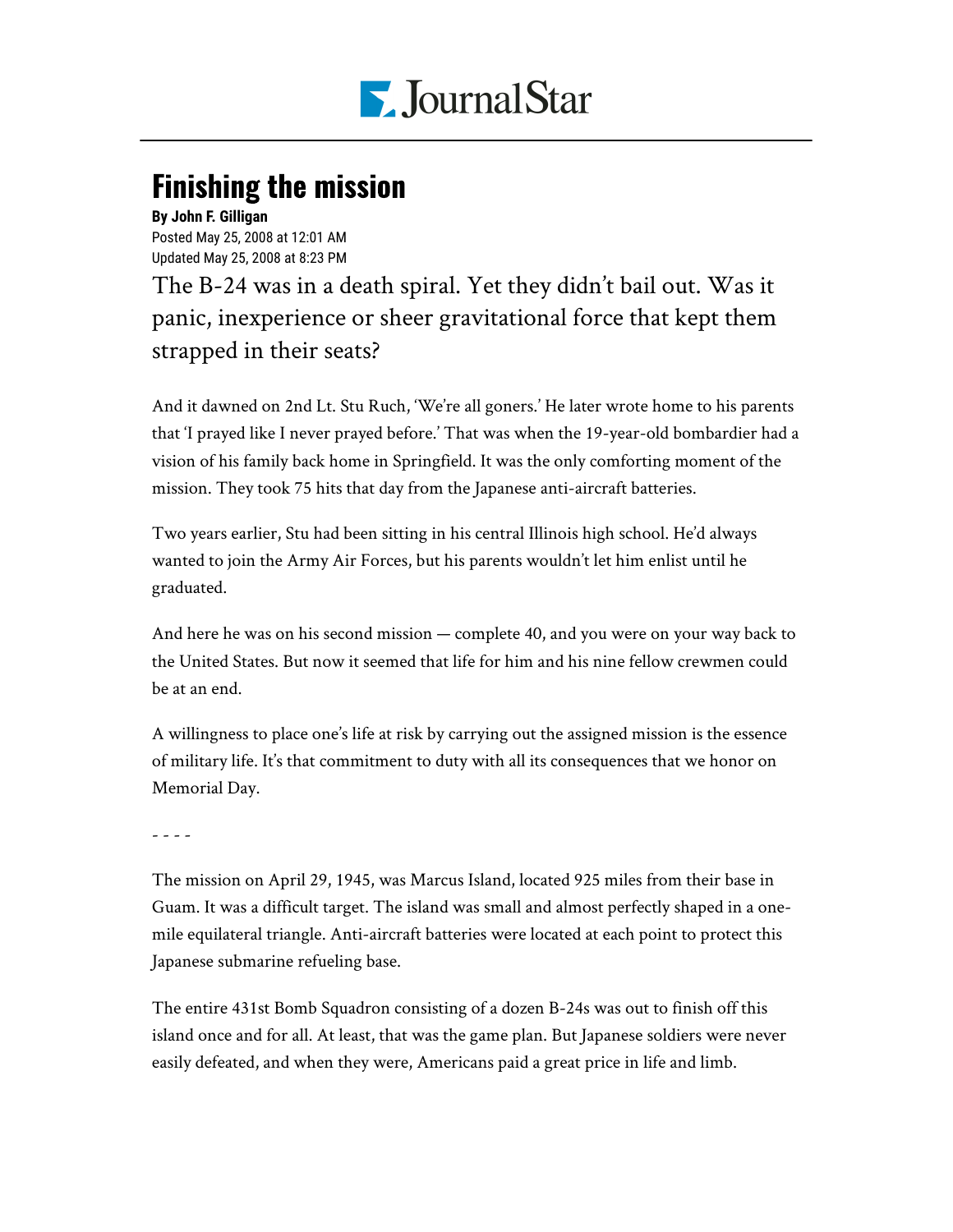

## **Finishing the mission**

## **By John F. Gilligan**

Posted May 25, 2008 at 12:01 AM Updated May 25, 2008 at 8:23 PM

The B-24 was in a death spiral. Yet they didn't bail out. Was it panic, inexperience or sheer gravitational force that kept them strapped in their seats?

And it dawned on 2nd Lt. Stu Ruch, 'We're all goners.' He later wrote home to his parents that 'I prayed like I never prayed before.' That was when the 19-year-old bombardier had a vision of his family back home in Springfield. It was the only comforting moment of the mission. They took 75 hits that day from the Japanese anti-aircraft batteries.

Two years earlier, Stu had been sitting in his central Illinois high school. He'd always wanted to join the Army Air Forces, but his parents wouldn't let him enlist until he graduated.

And here he was on his second mission — complete 40, and you were on your way back to the United States. But now it seemed that life for him and his nine fellow crewmen could be at an end.

A willingness to place one's life at risk by carrying out the assigned mission is the essence of military life. It's that commitment to duty with all its consequences that we honor on Memorial Day.

## - - - -

The mission on April 29, 1945, was Marcus Island, located 925 miles from their base in Guam. It was a difficult target. The island was small and almost perfectly shaped in a onemile equilateral triangle. Anti-aircraft batteries were located at each point to protect this Japanese submarine refueling base.

The entire 431st Bomb Squadron consisting of a dozen B-24s was out to finish off this island once and for all. At least, that was the game plan. But Japanese soldiers were never easily defeated, and when they were, Americans paid a great price in life and limb.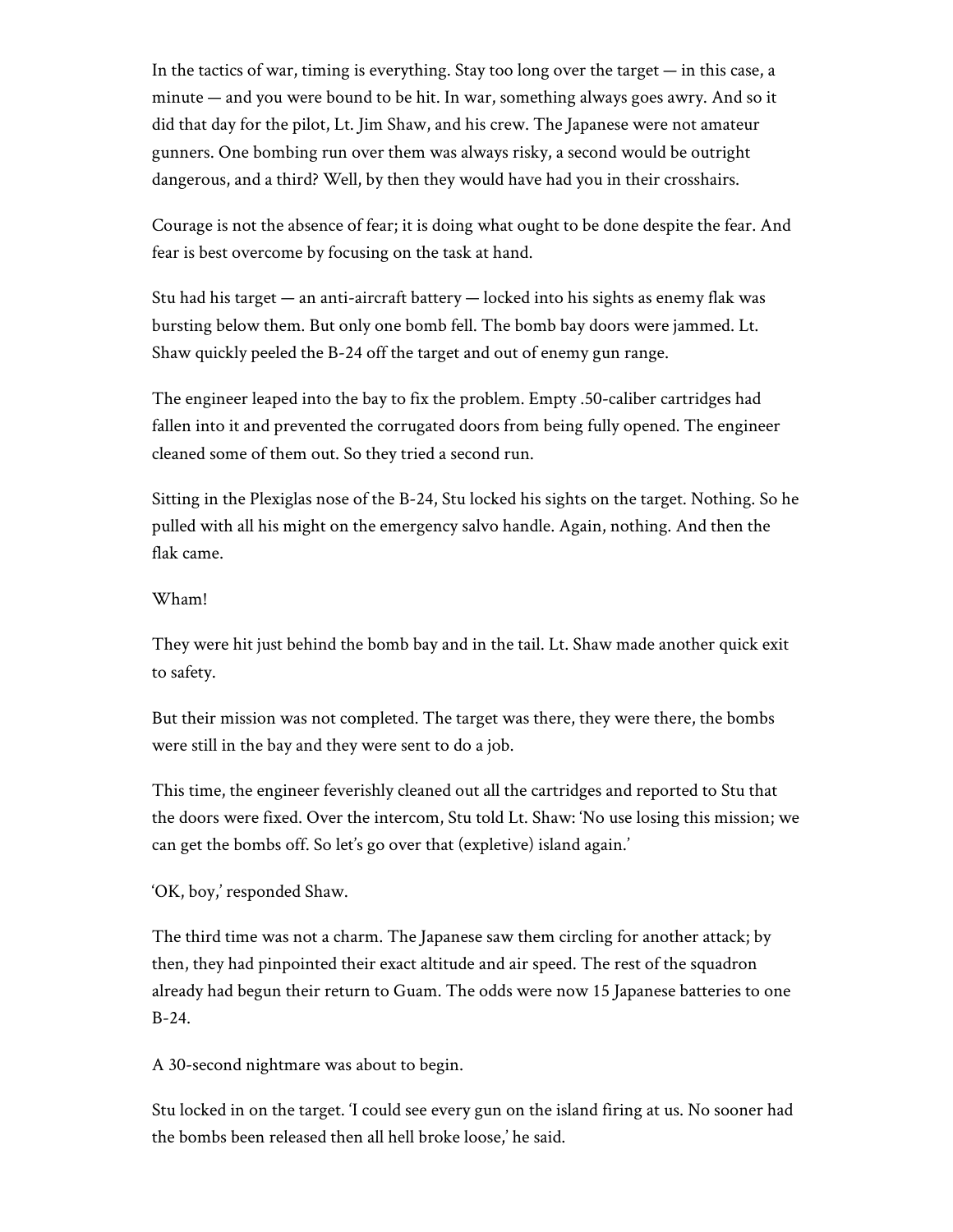In the tactics of war, timing is everything. Stay too long over the target — in this case, a minute — and you were bound to be hit. In war, something always goes awry. And so it did that day for the pilot, Lt. Jim Shaw, and his crew. The Japanese were not amateur gunners. One bombing run over them was always risky, a second would be outright dangerous, and a third? Well, by then they would have had you in their crosshairs.

Courage is not the absence of fear; it is doing what ought to be done despite the fear. And fear is best overcome by focusing on the task at hand.

Stu had his target  $-$  an anti-aircraft battery  $-$  locked into his sights as enemy flak was bursting below them. But only one bomb fell. The bomb bay doors were jammed. Lt. Shaw quickly peeled the B-24 off the target and out of enemy gun range.

The engineer leaped into the bay to fix the problem. Empty .50-caliber cartridges had fallen into it and prevented the corrugated doors from being fully opened. The engineer cleaned some of them out. So they tried a second run.

Sitting in the Plexiglas nose of the B-24, Stu locked his sights on the target. Nothing. So he pulled with all his might on the emergency salvo handle. Again, nothing. And then the flak came.

## Wham!

They were hit just behind the bomb bay and in the tail. Lt. Shaw made another quick exit to safety.

But their mission was not completed. The target was there, they were there, the bombs were still in the bay and they were sent to do a job.

This time, the engineer feverishly cleaned out all the cartridges and reported to Stu that the doors were fixed. Over the intercom, Stu told Lt. Shaw: 'No use losing this mission; we can get the bombs off. So let's go over that (expletive) island again.'

'OK, boy,' responded Shaw.

The third time was not a charm. The Japanese saw them circling for another attack; by then, they had pinpointed their exact altitude and air speed. The rest of the squadron already had begun their return to Guam. The odds were now 15 Japanese batteries to one B-24.

A 30-second nightmare was about to begin.

Stu locked in on the target. 'I could see every gun on the island firing at us. No sooner had the bombs been released then all hell broke loose,' he said.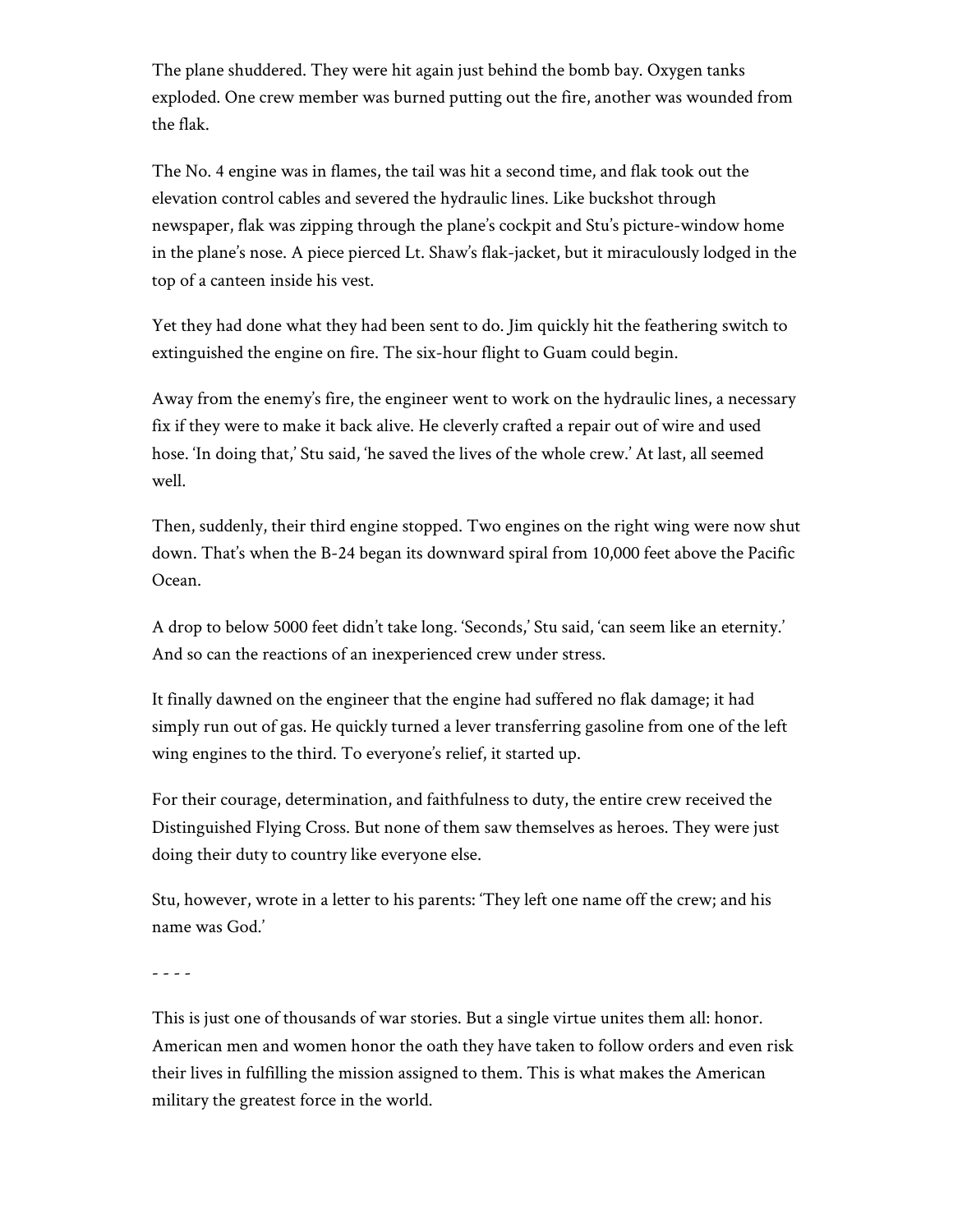The plane shuddered. They were hit again just behind the bomb bay. Oxygen tanks exploded. One crew member was burned putting out the fire, another was wounded from the flak.

The No. 4 engine was in flames, the tail was hit a second time, and flak took out the elevation control cables and severed the hydraulic lines. Like buckshot through newspaper, flak was zipping through the plane's cockpit and Stu's picture-window home in the plane's nose. A piece pierced Lt. Shaw's flak-jacket, but it miraculously lodged in the top of a canteen inside his vest.

Yet they had done what they had been sent to do. Jim quickly hit the feathering switch to extinguished the engine on fire. The six-hour flight to Guam could begin.

Away from the enemy's fire, the engineer went to work on the hydraulic lines, a necessary fix if they were to make it back alive. He cleverly crafted a repair out of wire and used hose. 'In doing that,' Stu said, 'he saved the lives of the whole crew.' At last, all seemed well.

Then, suddenly, their third engine stopped. Two engines on the right wing were now shut down. That's when the B-24 began its downward spiral from 10,000 feet above the Pacific Ocean.

A drop to below 5000 feet didn't take long. 'Seconds,' Stu said, 'can seem like an eternity.' And so can the reactions of an inexperienced crew under stress.

It finally dawned on the engineer that the engine had suffered no flak damage; it had simply run out of gas. He quickly turned a lever transferring gasoline from one of the left wing engines to the third. To everyone's relief, it started up.

For their courage, determination, and faithfulness to duty, the entire crew received the Distinguished Flying Cross. But none of them saw themselves as heroes. They were just doing their duty to country like everyone else.

Stu, however, wrote in a letter to his parents: 'They left one name off the crew; and his name was God.'

- - - -

This is just one of thousands of war stories. But a single virtue unites them all: honor. American men and women honor the oath they have taken to follow orders and even risk their lives in fulfilling the mission assigned to them. This is what makes the American military the greatest force in the world.